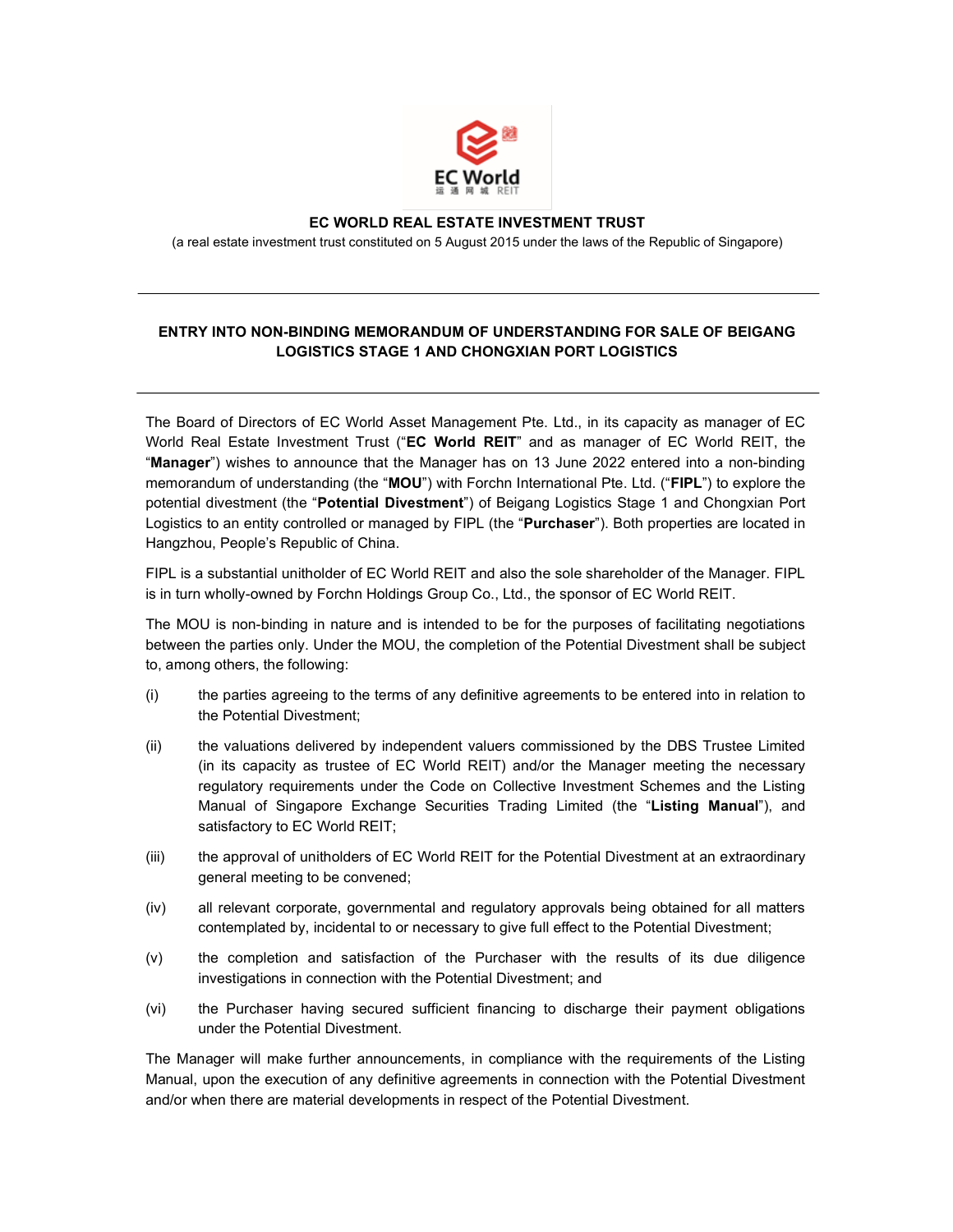

## EC WORLD REAL ESTATE INVESTMENT TRUST

(a real estate investment trust constituted on 5 August 2015 under the laws of the Republic of Singapore)

## ENTRY INTO NON-BINDING MEMORANDUM OF UNDERSTANDING FOR SALE OF BEIGANG LOGISTICS STAGE 1 AND CHONGXIAN PORT LOGISTICS

The Board of Directors of EC World Asset Management Pte. Ltd., in its capacity as manager of EC World Real Estate Investment Trust ("EC World REIT" and as manager of EC World REIT, the "Manager") wishes to announce that the Manager has on 13 June 2022 entered into a non-binding memorandum of understanding (the "MOU") with Forchn International Pte. Ltd. ("FIPL") to explore the potential divestment (the "Potential Divestment") of Beigang Logistics Stage 1 and Chongxian Port Logistics to an entity controlled or managed by FIPL (the "Purchaser"). Both properties are located in Hangzhou, People's Republic of China.

FIPL is a substantial unitholder of EC World REIT and also the sole shareholder of the Manager. FIPL is in turn wholly-owned by Forchn Holdings Group Co., Ltd., the sponsor of EC World REIT.

The MOU is non-binding in nature and is intended to be for the purposes of facilitating negotiations between the parties only. Under the MOU, the completion of the Potential Divestment shall be subject to, among others, the following:

- (i) the parties agreeing to the terms of any definitive agreements to be entered into in relation to the Potential Divestment;
- (ii) the valuations delivered by independent valuers commissioned by the DBS Trustee Limited (in its capacity as trustee of EC World REIT) and/or the Manager meeting the necessary regulatory requirements under the Code on Collective Investment Schemes and the Listing Manual of Singapore Exchange Securities Trading Limited (the "Listing Manual"), and satisfactory to EC World REIT;
- (iii) the approval of unitholders of EC World REIT for the Potential Divestment at an extraordinary general meeting to be convened;
- (iv) all relevant corporate, governmental and regulatory approvals being obtained for all matters contemplated by, incidental to or necessary to give full effect to the Potential Divestment;
- (v) the completion and satisfaction of the Purchaser with the results of its due diligence investigations in connection with the Potential Divestment; and
- (vi) the Purchaser having secured sufficient financing to discharge their payment obligations under the Potential Divestment.

The Manager will make further announcements, in compliance with the requirements of the Listing Manual, upon the execution of any definitive agreements in connection with the Potential Divestment and/or when there are material developments in respect of the Potential Divestment.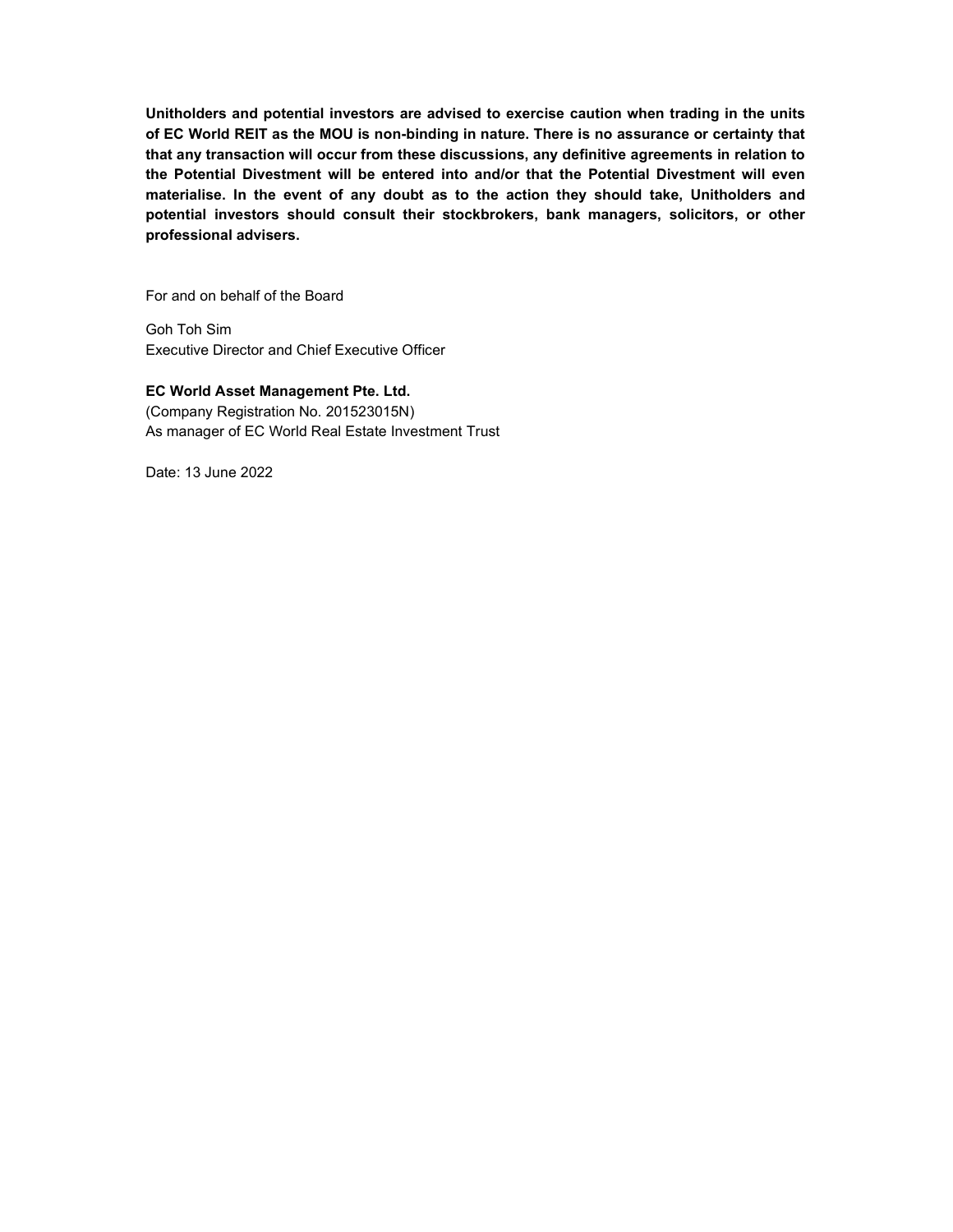Unitholders and potential investors are advised to exercise caution when trading in the units of EC World REIT as the MOU is non-binding in nature. There is no assurance or certainty that that any transaction will occur from these discussions, any definitive agreements in relation to the Potential Divestment will be entered into and/or that the Potential Divestment will even materialise. In the event of any doubt as to the action they should take, Unitholders and potential investors should consult their stockbrokers, bank managers, solicitors, or other professional advisers.

For and on behalf of the Board

Goh Toh Sim Executive Director and Chief Executive Officer

EC World Asset Management Pte. Ltd. (Company Registration No. 201523015N) As manager of EC World Real Estate Investment Trust

Date: 13 June 2022